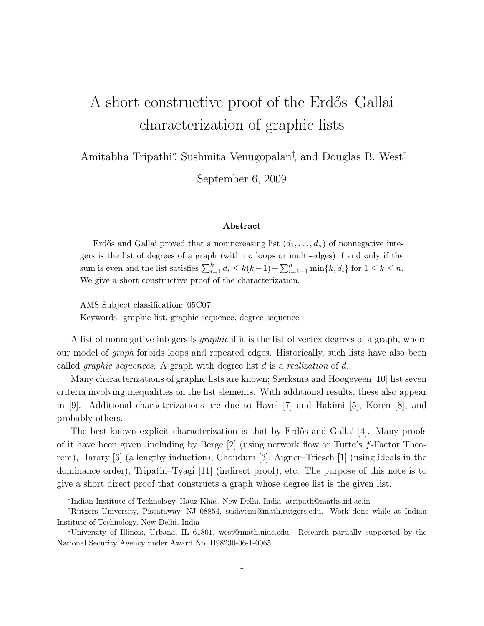## A short constructive proof of the Erdős–Gallai characterization of graphic lists

Amitabha Tripathi<sup>∗</sup> , Sushmita Venugopalan† , and Douglas B. West‡

September 6, 2009

## Abstract

Erdős and Gallai proved that a nonincreasing list  $(d_1, \ldots, d_n)$  of nonnegative integers is the list of degrees of a graph (with no loops or multi-edges) if and only if the sum is even and the list satisfies  $\sum_{i=1}^{k} d_i \le k(k-1) + \sum_{i=k+1}^{n} \min\{k, d_i\}$  for  $1 \le k \le n$ . We give a short constructive proof of the characterization.

AMS Subject classification: 05C07 Keywords: graphic list, graphic sequence, degree sequence

A list of nonnegative integers is *graphic* if it is the list of vertex degrees of a graph, where our model of graph forbids loops and repeated edges. Historically, such lists have also been called *graphic sequences*. A graph with degree list  $d$  is a *realization* of  $d$ .

Many characterizations of graphic lists are known; Sierksma and Hoogeveen [10] list seven criteria involving inequalities on the list elements. With additional results, these also appear in [9]. Additional characterizations are due to Havel [7] and Hakimi [5], Koren [8], and probably others.

The best-known explicit characterization is that by Erdős and Gallai [4]. Many proofs of it have been given, including by Berge [2] (using network flow or Tutte's f-Factor Theorem), Harary [6] (a lengthy induction), Choudum [3], Aigner–Triesch [1] (using ideals in the dominance order), Tripathi–Tyagi [11] (indirect proof), etc. The purpose of this note is to give a short direct proof that constructs a graph whose degree list is the given list.

<sup>∗</sup> Indian Institute of Technology, Hauz Khas, New Delhi, India, atripath@maths.iid.ac.in

<sup>†</sup>Rutgers University, Piscataway, NJ 08854, sushvenu@math.rutgers.edu. Work done while at Indian Institute of Technology, New Delhi, India

<sup>‡</sup>University of Illinois, Urbana, IL 61801, west@math.uiuc.edu. Research partially supported by the National Security Agency under Award No. H98230-06-1-0065.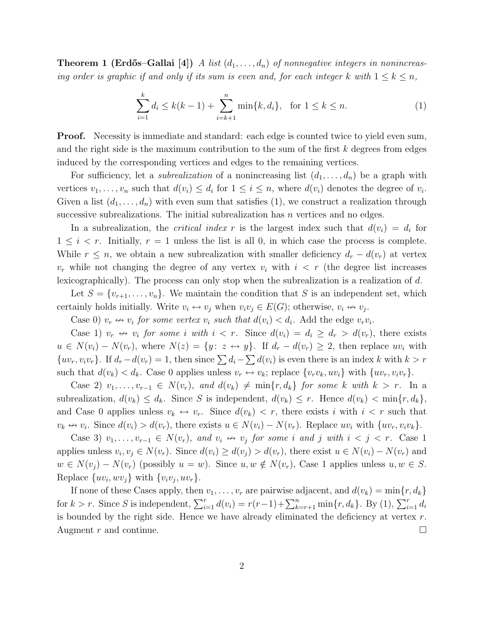**Theorem 1 (Erdős–Gallai** [4]) A list  $(d_1, \ldots, d_n)$  of nonnegative integers in nonincreasing order is graphic if and only if its sum is even and, for each integer k with  $1 \leq k \leq n$ ,

$$
\sum_{i=1}^{k} d_i \le k(k-1) + \sum_{i=k+1}^{n} \min\{k, d_i\}, \text{ for } 1 \le k \le n.
$$
 (1)

**Proof.** Necessity is immediate and standard: each edge is counted twice to yield even sum, and the right side is the maximum contribution to the sum of the first k degrees from edges induced by the corresponding vertices and edges to the remaining vertices.

For sufficiency, let a *subrealization* of a nonincreasing list  $(d_1, \ldots, d_n)$  be a graph with vertices  $v_1, \ldots, v_n$  such that  $d(v_i) \leq d_i$  for  $1 \leq i \leq n$ , where  $d(v_i)$  denotes the degree of  $v_i$ . Given a list  $(d_1,\ldots,d_n)$  with even sum that satisfies (1), we construct a realization through successive subrealizations. The initial subrealization has  $n$  vertices and no edges.

In a subrealization, the *critical index* r is the largest index such that  $d(v_i) = d_i$  for  $1 \leq i < r$ . Initially,  $r = 1$  unless the list is all 0, in which case the process is complete. While  $r \leq n$ , we obtain a new subrealization with smaller deficiency  $d_r - d(v_r)$  at vertex  $v_r$  while not changing the degree of any vertex  $v_i$  with  $i \leq r$  (the degree list increases lexicographically). The process can only stop when the subrealization is a realization of d.

Let  $S = \{v_{r+1}, \ldots, v_n\}$ . We maintain the condition that S is an independent set, which certainly holds initially. Write  $v_i \leftrightarrow v_j$  when  $v_i v_j \in E(G)$ ; otherwise,  $v_i \leftrightarrow v_j$ .

Case 0)  $v_r \leftrightarrow v_i$  for some vertex  $v_i$  such that  $d(v_i) < d_i$ . Add the edge  $v_r v_i$ .

Case 1)  $v_r \leftrightarrow v_i$  for some i with  $i < r$ . Since  $d(v_i) = d_i \ge d_r > d(v_r)$ , there exists  $u \in N(v_i) - N(v_r)$ , where  $N(z) = \{y: z \leftrightarrow y\}$ . If  $d_r - d(v_r) \geq 2$ , then replace uv<sub>i</sub> with  $\{uv_r, v_iv_r\}$ . If  $d_r - d(v_r) = 1$ , then since  $\sum d_i - \sum d(v_i)$  is even there is an index k with  $k > r$ such that  $d(v_k) < d_k$ . Case 0 applies unless  $v_r \leftrightarrow v_k$ ; replace  $\{v_r v_k, uv_i\}$  with  $\{uv_r, v_i v_r\}$ .

Case 2)  $v_1, \ldots, v_{r-1} \in N(v_r)$ , and  $d(v_k) \neq \min\{r, d_k\}$  for some k with  $k > r$ . In a subrealization,  $d(v_k) \leq d_k$ . Since S is independent,  $d(v_k) \leq r$ . Hence  $d(v_k) < \min\{r, d_k\}$ , and Case 0 applies unless  $v_k \leftrightarrow v_r$ . Since  $d(v_k) < r$ , there exists i with  $i < r$  such that  $v_k \nleftrightarrow v_i$ . Since  $d(v_i) > d(v_r)$ , there exists  $u \in N(v_i) - N(v_r)$ . Replace  $uv_i$  with  $\{uv_r, v_iv_k\}$ .

Case 3)  $v_1, \ldots, v_{r-1} \in N(v_r)$ , and  $v_i \leftrightarrow v_j$  for some i and j with  $i < j < r$ . Case 1 applies unless  $v_i, v_j \in N(v_r)$ . Since  $d(v_i) \geq d(v_j) > d(v_r)$ , there exist  $u \in N(v_i) - N(v_r)$  and  $w \in N(v_j) - N(v_r)$  (possibly  $u = w$ ). Since  $u, w \notin N(v_r)$ , Case 1 applies unless  $u, w \in S$ . Replace  $\{uv_i, wv_j\}$  with  $\{v_i v_j, u v_r\}$ .

If none of these Cases apply, then  $v_1, \ldots, v_r$  are pairwise adjacent, and  $d(v_k) = \min\{r, d_k\}$ for  $k > r$ . Since S is independent,  $\sum_{i=1}^{r} d(v_i) = r(r-1) + \sum_{k=r+1}^{n} \min\{r, d_k\}$ . By (1),  $\sum_{i=1}^{r} d_i$ is bounded by the right side. Hence we have already eliminated the deficiency at vertex  $r$ . Augment r and continue.  $\Box$